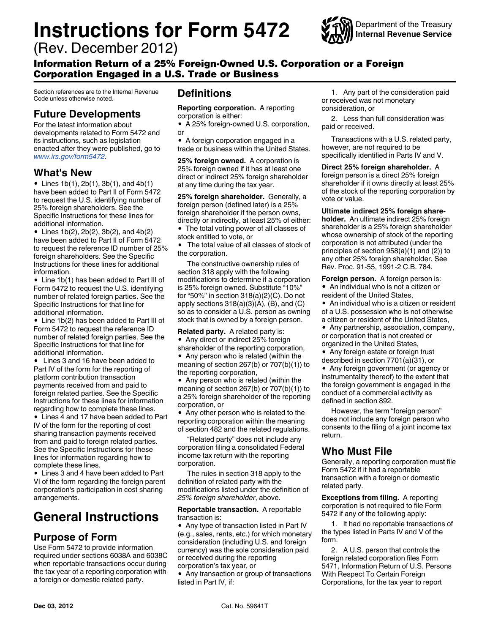# **Instructions for Form 5472**

(Rev. December 2012)



Information Return of a 25% Foreign-Owned U.S. Corporation or a Foreign Corporation Engaged in a U.S. Trade or Business

Section references are to the Internal Revenue Code unless otherwise noted.

#### **Future Developments**

For the latest information about developments related to Form 5472 and its instructions, such as legislation enacted after they were published, go to *[www.irs.gov/form5472](http://www.irs.gov/form5472)*.

#### **What's New**

• Lines  $1b(1)$ ,  $2b(1)$ ,  $3b(1)$ , and  $4b(1)$ have been added to Part II of Form 5472 to request the U.S. identifying number of 25% foreign shareholders. See the Specific Instructions for these lines for additional information.

Lines 1b(2), 2b(2), 3b(2), and 4b(2) have been added to Part II of Form 5472 to request the reference ID number of 25% foreign shareholders. See the Specific Instructions for these lines for additional information.

Line 1b(1) has been added to Part III of Form 5472 to request the U.S. identifying number of related foreign parties. See the Specific Instructions for that line for additional information.

Line 1b(2) has been added to Part III of Form 5472 to request the reference ID number of related foreign parties. See the Specific Instructions for that line for additional information.

 Lines 3 and 16 have been added to Part IV of the form for the reporting of platform contribution transaction payments received from and paid to foreign related parties. See the Specific Instructions for these lines for information regarding how to complete these lines.

Lines 4 and 17 have been added to Part IV of the form for the reporting of cost sharing transaction payments received from and paid to foreign related parties. See the Specific Instructions for these lines for information regarding how to complete these lines.

Lines 3 and 4 have been added to Part VI of the form regarding the foreign parent corporation's participation in cost sharing arrangements.

## **General Instructions**

### **Purpose of Form**

Use Form 5472 to provide information required under sections 6038A and 6038C when reportable transactions occur during the tax year of a reporting corporation with a foreign or domestic related party.

### **Definitions**

**Reporting corporation.** A reporting corporation is either:

A 25% foreign-owned U.S. corporation, or

A foreign corporation engaged in a trade or business within the United States.

**25% foreign owned.** A corporation is 25% foreign owned if it has at least one direct or indirect 25% foreign shareholder at any time during the tax year.

**25% foreign shareholder.** Generally, a foreign person (defined later) is a 25% foreign shareholder if the person owns, directly or indirectly, at least 25% of either: The total voting power of all classes of

stock entitled to vote, or

 The total value of all classes of stock of the corporation.

The constructive ownership rules of section 318 apply with the following modifications to determine if a corporation is 25% foreign owned. Substitute "10%" for "50%" in section 318(a)(2)(C). Do not apply sections  $318(a)(3)(A)$ ,  $(B)$ , and  $(C)$ so as to consider a U.S. person as owning stock that is owned by a foreign person.

**Related party.** A related party is: • Any direct or indirect 25% foreign shareholder of the reporting corporation, • Any person who is related (within the meaning of section 267(b) or 707(b)(1)) to the reporting corporation,

• Any person who is related (within the meaning of section 267(b) or 707(b)(1)) to a 25% foreign shareholder of the reporting corporation, or

Any other person who is related to the reporting corporation within the meaning of section 482 and the related regulations.

"Related party" does not include any corporation filing a consolidated Federal income tax return with the reporting corporation.

The rules in section 318 apply to the definition of related party with the modifications listed under the definition of *25% foreign shareholder*, above.

#### **Reportable transaction.** A reportable transaction is:

• Any type of transaction listed in Part IV (e.g., sales, rents, etc.) for which monetary consideration (including U.S. and foreign currency) was the sole consideration paid or received during the reporting corporation's tax year, or

Any transaction or group of transactions listed in Part IV, if:

1. Any part of the consideration paid or received was not monetary consideration, or

2. Less than full consideration was paid or received.

Transactions with a U.S. related party, however, are not required to be specifically identified in Parts IV and V.

**Direct 25% foreign shareholder.** A foreign person is a direct 25% foreign shareholder if it owns directly at least 25% of the stock of the reporting corporation by vote or value.

**Ultimate indirect 25% foreign shareholder.** An ultimate indirect 25% foreign shareholder is a 25% foreign shareholder whose ownership of stock of the reporting corporation is not attributed (under the principles of section 958(a)(1) and (2)) to any other 25% foreign shareholder. See Rev. Proc. 91-55, 1991-2 C.B. 784.

**Foreign person.** A foreign person is: An individual who is not a citizen or resident of the United States,

An individual who is a citizen or resident of a U.S. possession who is not otherwise a citizen or resident of the United States,

Any partnership, association, company, or corporation that is not created or organized in the United States,

• Any foreign estate or foreign trust described in section 7701(a)(31), or

Any foreign government (or agency or instrumentality thereof) to the extent that the foreign government is engaged in the conduct of a commercial activity as defined in section 892.

However, the term "foreign person" does not include any foreign person who consents to the filing of a joint income tax return.

#### **Who Must File**

Generally, a reporting corporation must file Form 5472 if it had a reportable transaction with a foreign or domestic related party.

**Exceptions from filing.** A reporting corporation is not required to file Form 5472 if any of the following apply:

1. It had no reportable transactions of the types listed in Parts IV and V of the form.

2. A U.S. person that controls the foreign related corporation files Form 5471, Information Return of U.S. Persons With Respect To Certain Foreign Corporations, for the tax year to report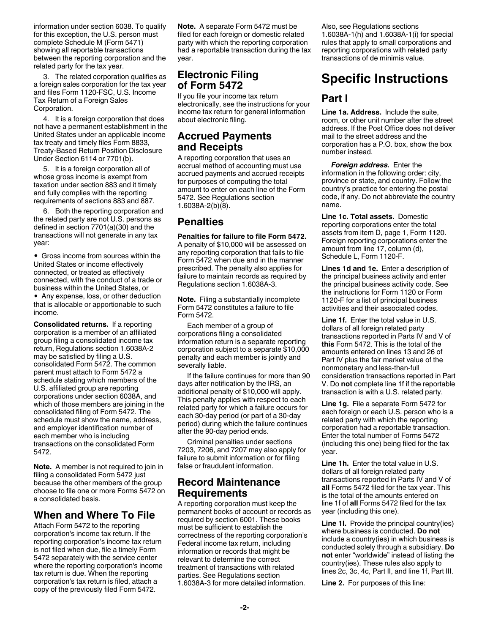information under section 6038. To qualify for this exception, the U.S. person must complete Schedule M (Form 5471) showing all reportable transactions between the reporting corporation and the related party for the tax year.

3. The related corporation qualifies as a foreign sales corporation for the tax year and files Form 1120-FSC, U.S. Income Tax Return of a Foreign Sales Corporation.

4. It is a foreign corporation that does not have a permanent establishment in the United States under an applicable income tax treaty and timely files Form 8833, Treaty-Based Return Position Disclosure Under Section 6114 or 7701(b).

5. It is a foreign corporation all of whose gross income is exempt from taxation under section 883 and it timely and fully complies with the reporting requirements of sections 883 and 887.

6. Both the reporting corporation and the related party are not U.S. persons as defined in section 7701(a)(30) and the transactions will not generate in any tax year:

Gross income from sources within the United States or income effectively connected, or treated as effectively connected, with the conduct of a trade or business within the United States, or

Any expense, loss, or other deduction that is allocable or apportionable to such income.

**Consolidated returns.** If a reporting corporation is a member of an affiliated group filing a consolidated income tax return, Regulations section 1.6038A-2 may be satisfied by filing a U.S. consolidated Form 5472. The common parent must attach to Form 5472 a schedule stating which members of the U.S. affiliated group are reporting corporations under section 6038A, and which of those members are joining in the consolidated filing of Form 5472. The schedule must show the name, address, and employer identification number of each member who is including transactions on the consolidated Form 5472.

**Note.** A member is not required to join in filing a consolidated Form 5472 just because the other members of the group choose to file one or more Forms 5472 on a consolidated basis.

#### **When and Where To File**

Attach Form 5472 to the reporting corporation's income tax return. If the reporting corporation's income tax return is not filed when due, file a timely Form 5472 separately with the service center where the reporting corporation's income tax return is due. When the reporting corporation's tax return is filed, attach a copy of the previously filed Form 5472.

**Note.** A separate Form 5472 must be filed for each foreign or domestic related party with which the reporting corporation had a reportable transaction during the tax year.

#### **Electronic Filing of Form 5472**

If you file your income tax return electronically, see the instructions for your income tax return for general information about electronic filing.

#### **Accrued Payments and Receipts**

A reporting corporation that uses an accrual method of accounting must use accrued payments and accrued receipts for purposes of computing the total amount to enter on each line of the Form 5472. See Regulations section 1.6038A-2(b)(8).

#### **Penalties**

**Penalties for failure to file Form 5472.**  A penalty of \$10,000 will be assessed on any reporting corporation that fails to file Form 5472 when due and in the manner prescribed. The penalty also applies for failure to maintain records as required by Regulations section 1.6038A-3.

**Note.** Filing a substantially incomplete Form 5472 constitutes a failure to file Form 5472.

Each member of a group of corporations filing a consolidated information return is a separate reporting corporation subject to a separate \$10,000 penalty and each member is jointly and severally liable.

If the failure continues for more than 90 days after notification by the IRS, an additional penalty of \$10,000 will apply. This penalty applies with respect to each related party for which a failure occurs for each 30-day period (or part of a 30-day period) during which the failure continues after the 90-day period ends.

Criminal penalties under sections 7203, 7206, and 7207 may also apply for failure to submit information or for filing false or fraudulent information.

#### **Record Maintenance Requirements**

A reporting corporation must keep the permanent books of account or records as required by section 6001. These books must be sufficient to establish the correctness of the reporting corporation's Federal income tax return, including information or records that might be relevant to determine the correct treatment of transactions with related parties. See Regulations section 1.6038A-3 for more detailed information.

Also, see Regulations sections 1.6038A-1(h) and 1.6038A-1(i) for special rules that apply to small corporations and reporting corporations with related party transactions of de minimis value.

## **Specific Instructions**

#### **Part I**

**Line 1a. Address.** Include the suite, room, or other unit number after the street address. If the Post Office does not deliver mail to the street address and the corporation has a P.O. box, show the box number instead.

*Foreign address.* Enter the information in the following order: city, province or state, and country. Follow the country's practice for entering the postal code, if any. Do not abbreviate the country name.

**Line 1c. Total assets.** Domestic reporting corporations enter the total assets from item D, page 1, Form 1120. Foreign reporting corporations enter the amount from line 17, column (d), Schedule L, Form 1120-F.

**Lines 1d and 1e.** Enter a description of the principal business activity and enter the principal business activity code. See the instructions for Form 1120 or Form 1120-F for a list of principal business activities and their associated codes.

**Line 1f.** Enter the total value in U.S. dollars of all foreign related party transactions reported in Parts IV and V of **this** Form 5472. This is the total of the amounts entered on lines 13 and 26 of Part IV plus the fair market value of the nonmonetary and less-than-full consideration transactions reported in Part V. Do **not** complete line 1f if the reportable transaction is with a U.S. related party.

**Line 1g.** File a separate Form 5472 for each foreign or each U.S. person who is a related party with which the reporting corporation had a reportable transaction. Enter the total number of Forms 5472 (including this one) being filed for the tax year.

**Line 1h.** Enter the total value in U.S. dollars of all foreign related party transactions reported in Parts IV and V of **all** Forms 5472 filed for the tax year. This is the total of the amounts entered on line 1f of **all** Forms 5472 filed for the tax year (including this one).

**Line 1l.** Provide the principal country(ies) where business is conducted. **Do not**  include a country(ies) in which business is conducted solely through a subsidiary. **Do not** enter "worldwide" instead of listing the country(ies). These rules also apply to lines 2c, 3c, 4c, Part II, and line 1f, Part III.

**Line 2.** For purposes of this line: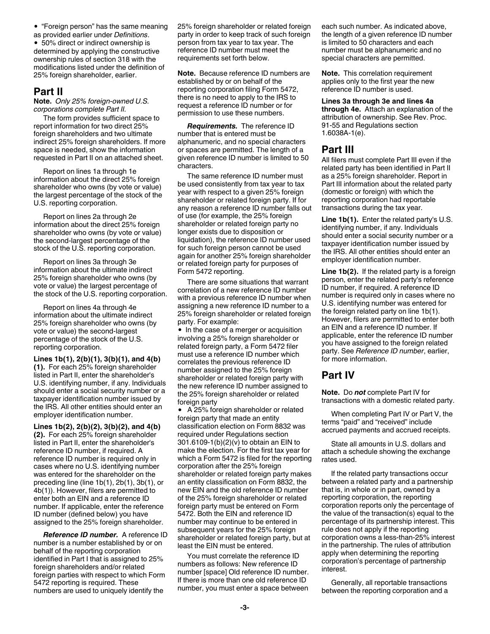"Foreign person" has the same meaning

as provided earlier under *Definitions*. 50% direct or indirect ownership is determined by applying the constructive ownership rules of section 318 with the modifications listed under the definition of 25% foreign shareholder, earlier.

#### **Part II**

**Note.** *Only 25% foreign-owned U.S. corporations complete Part II.*

The form provides sufficient space to report information for two direct 25% foreign shareholders and two ultimate indirect 25% foreign shareholders. If more space is needed, show the information requested in Part II on an attached sheet.

Report on lines 1a through 1e information about the direct 25% foreign shareholder who owns (by vote or value) the largest percentage of the stock of the U.S. reporting corporation.

Report on lines 2a through 2e information about the direct 25% foreign shareholder who owns (by vote or value) the second-largest percentage of the stock of the U.S. reporting corporation.

Report on lines 3a through 3e information about the ultimate indirect 25% foreign shareholder who owns (by vote or value) the largest percentage of the stock of the U.S. reporting corporation.

Report on lines 4a through 4e information about the ultimate indirect 25% foreign shareholder who owns (by vote or value) the second-largest percentage of the stock of the U.S. reporting corporation.

**Lines 1b(1), 2(b)(1), 3(b)(1), and 4(b) (1).** For each 25% foreign shareholder listed in Part II, enter the shareholder's U.S. identifying number, if any. Individuals should enter a social security number or a taxpayer identification number issued by the IRS. All other entities should enter an employer identification number.

**Lines 1b(2), 2(b)(2), 3(b)(2), and 4(b) (2).** For each 25% foreign shareholder listed in Part II, enter the shareholder's reference ID number, if required. A reference ID number is required only in cases where no U.S. identifying number was entered for the shareholder on the preceding line (line 1b(1), 2b(1), 3b(1), or 4b(1)). However, filers are permitted to enter both an EIN and a reference ID number. If applicable, enter the reference ID number (defined below) you have assigned to the 25% foreign shareholder.

*Reference ID number.* A reference ID number is a number established by or on behalf of the reporting corporation identified in Part I that is assigned to 25% foreign shareholders and/or related foreign parties with respect to which Form 5472 reporting is required. These numbers are used to uniquely identify the

25% foreign shareholder or related foreign party in order to keep track of such foreign person from tax year to tax year. The reference ID number must meet the requirements set forth below.

**Note.** Because reference ID numbers are established by or on behalf of the reporting corporation filing Form 5472, there is no need to apply to the IRS to request a reference ID number or for permission to use these numbers.

*Requirements.* The reference ID number that is entered must be alphanumeric, and no special characters or spaces are permitted. The length of a given reference ID number is limited to 50 characters.

The same reference ID number must be used consistently from tax year to tax year with respect to a given 25% foreign shareholder or related foreign party. If for any reason a reference ID number falls out of use (for example, the 25% foreign shareholder or related foreign party no longer exists due to disposition or liquidation), the reference ID number used for such foreign person cannot be used again for another 25% foreign shareholder or related foreign party for purposes of Form 5472 reporting.

There are some situations that warrant correlation of a new reference ID number with a previous reference ID number when assigning a new reference ID number to a 25% foreign shareholder or related foreign party. For example:

In the case of a merger or acquisition involving a 25% foreign shareholder or related foreign party, a Form 5472 filer must use a reference ID number which correlates the previous reference ID number assigned to the 25% foreign shareholder or related foreign party with the new reference ID number assigned to the 25% foreign shareholder or related foreign party

 $\bullet$  A 25% foreign shareholder or related foreign party that made an entity classification election on Form 8832 was required under Regulations section 301.6109-1(b)(2)(v) to obtain an EIN to make the election. For the first tax year for which a Form 5472 is filed for the reporting corporation after the 25% foreign shareholder or related foreign party makes an entity classification on Form 8832, the new EIN and the old reference ID number of the 25% foreign shareholder or related foreign party must be entered on Form 5472. Both the EIN and reference ID number may continue to be entered in subsequent years for the 25% foreign shareholder or related foreign party, but at least the EIN must be entered.

You must correlate the reference ID numbers as follows: New reference ID number [space] Old reference ID number. If there is more than one old reference ID number, you must enter a space between

each such number. As indicated above, the length of a given reference ID number is limited to 50 characters and each number must be alphanumeric and no special characters are permitted.

**Note.** This correlation requirement applies only to the first year the new reference ID number is used.

**Lines 3a through 3e and lines 4a through 4e.** Attach an explanation of the attribution of ownership. See Rev. Proc. 91-55 and Regulations section 1.6038A-1(e).

#### **Part III**

All filers must complete Part III even if the related party has been identified in Part II as a 25% foreign shareholder. Report in Part III information about the related party (domestic or foreign) with which the reporting corporation had reportable transactions during the tax year.

**Line 1b(1).** Enter the related party's U.S. identifying number, if any. Individuals should enter a social security number or a taxpayer identification number issued by the IRS. All other entities should enter an employer identification number.

**Line 1b(2).** If the related party is a foreign person, enter the related party's reference ID number, if required. A reference ID number is required only in cases where no U.S. identifying number was entered for the foreign related party on line 1b(1). However, filers are permitted to enter both an EIN and a reference ID number. If applicable, enter the reference ID number you have assigned to the foreign related party. See *Reference ID number*, earlier, for more information.

#### **Part IV**

**Note.** Do *not* complete Part IV for transactions with a domestic related party.

When completing Part IV or Part V, the terms "paid" and "received" include accrued payments and accrued receipts.

State all amounts in U.S. dollars and attach a schedule showing the exchange rates used.

If the related party transactions occur between a related party and a partnership that is, in whole or in part, owned by a reporting corporation, the reporting corporation reports only the percentage of the value of the transaction(s) equal to the percentage of its partnership interest. This rule does not apply if the reporting corporation owns a less-than-25% interest in the partnership. The rules of attribution apply when determining the reporting corporation's percentage of partnership interest.

Generally, all reportable transactions between the reporting corporation and a